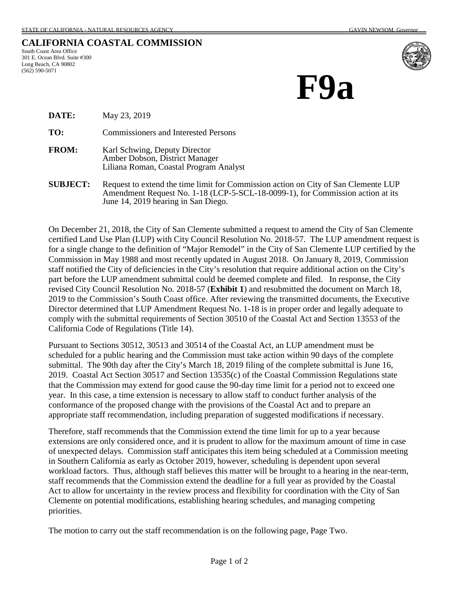## **CALIFORNIA COASTAL COMMISSION**

South Coast Area Office 301 E. Ocean Blvd. Suite #300 Long Beach, CA 90802 (562) 590-5071



**F9a**

**DATE:** May 23, 2019

**TO:** Commissioners and Interested Persons

- **FROM:** Karl Schwing, Deputy Director Amber Dobson, District Manager Liliana Roman, Coastal Program Analyst
- **SUBJECT:** Request to extend the time limit for Commission action on City of San Clemente LUP Amendment Request No. 1-18 (LCP-5-SCL-18-0099-1), for Commission action at its June 14, 2019 hearing in San Diego.

On December 21, 2018, the City of San Clemente submitted a request to amend the City of San Clemente certified Land Use Plan (LUP) with City Council Resolution No. 2018-57. The LUP amendment request is for a single change to the definition of "Major Remodel" in the City of San Clemente LUP certified by the Commission in May 1988 and most recently updated in August 2018. On January 8, 2019, Commission staff notified the City of deficiencies in the City's resolution that require additional action on the City's part before the LUP amendment submittal could be deemed complete and filed. In response, the City revised City Council Resolution No. 2018-57 (**Exhibit 1**) and resubmitted the document on March 18, 2019 to the Commission's South Coast office. After reviewing the transmitted documents, the Executive Director determined that LUP Amendment Request No. 1-18 is in proper order and legally adequate to comply with the submittal requirements of Section 30510 of the Coastal Act and Section 13553 of the California Code of Regulations (Title 14).

Pursuant to Sections 30512, 30513 and 30514 of the Coastal Act, an LUP amendment must be scheduled for a public hearing and the Commission must take action within 90 days of the complete submittal. The 90th day after the City's March 18, 2019 filing of the complete submittal is June 16, 2019. Coastal Act Section 30517 and Section 13535(c) of the Coastal Commission Regulations state that the Commission may extend for good cause the 90-day time limit for a period not to exceed one year. In this case, a time extension is necessary to allow staff to conduct further analysis of the conformance of the proposed change with the provisions of the Coastal Act and to prepare an appropriate staff recommendation, including preparation of suggested modifications if necessary.

Therefore, staff recommends that the Commission extend the time limit for up to a year because extensions are only considered once, and it is prudent to allow for the maximum amount of time in case of unexpected delays. Commission staff anticipates this item being scheduled at a Commission meeting in Southern California as early as October 2019, however, scheduling is dependent upon several workload factors. Thus, although staff believes this matter will be brought to a hearing in the near-term, staff recommends that the Commission extend the deadline for a full year as provided by the Coastal Act to allow for uncertainty in the review process and flexibility for coordination with the City of San Clemente on potential modifications, establishing hearing schedules, and managing competing priorities.

The motion to carry out the staff recommendation is on the following page, Page Two.